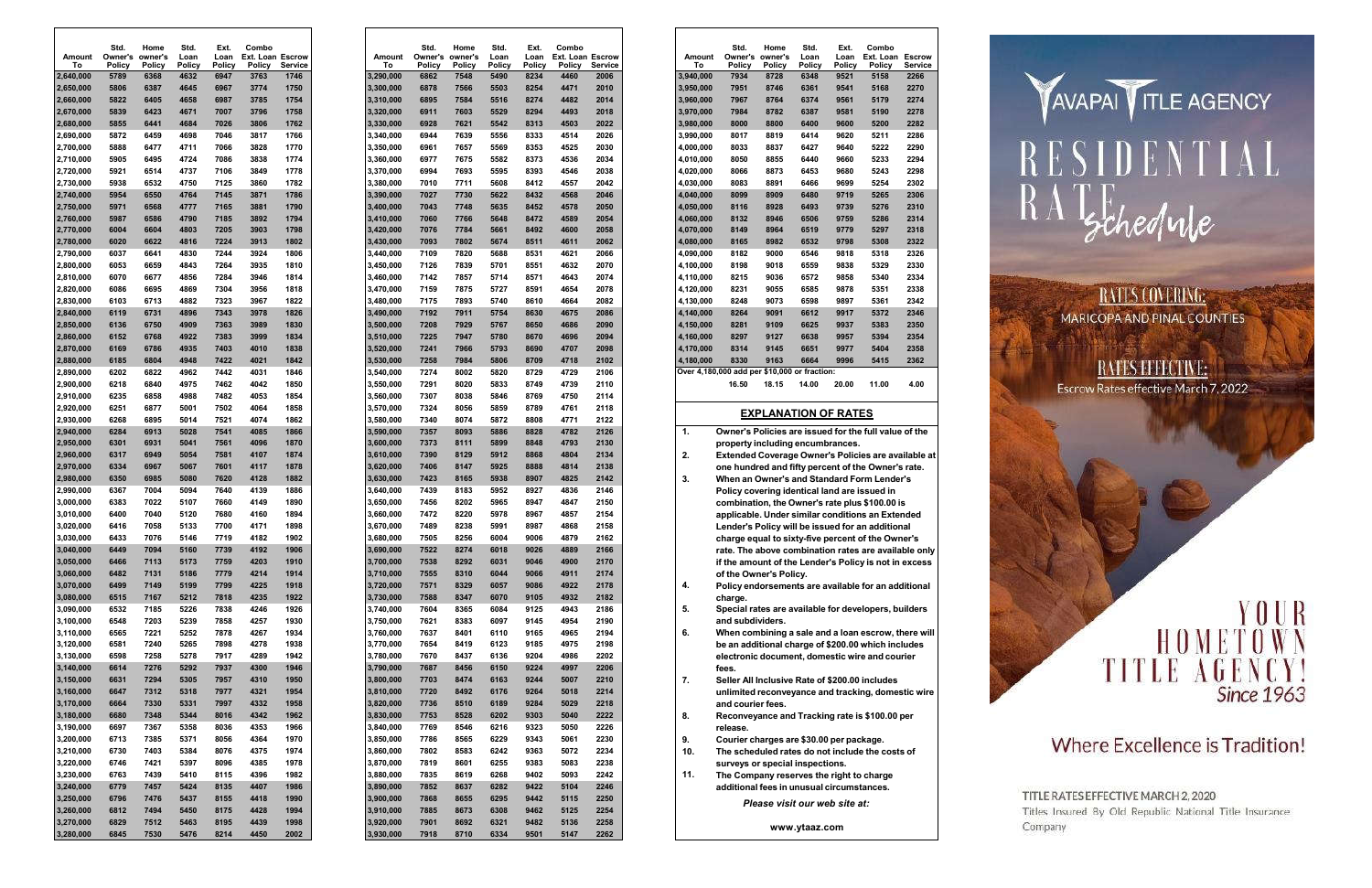|                     | Std.           | Home              | Std.   | Ext.           | Combo                             |                 |
|---------------------|----------------|-------------------|--------|----------------|-----------------------------------|-----------------|
| <b>Amount</b><br>То | Owner's        | owner's<br>Policy | Loan   | Loan<br>Policy | <b>Ext. Loan Escrow</b><br>Policy |                 |
| 2,640,000           | Policy<br>5789 |                   | Policy | 6947           |                                   | Service<br>1746 |
|                     |                | 6368              | 4632   | 6967           | 3763                              |                 |
| 2,650,000           | 5806           | 6387              | 4645   |                | 3774                              | 1750            |
| 2,660,000           | 5822           | 6405              | 4658   | 6987           | 3785                              | 1754            |
| 2,670,000           | 5839           | 6423              | 4671   | 7007           | 3796                              | 1758            |
| 2,680,000           | 5855           | 6441              | 4684   | 7026           | 3806                              | 1762            |
| 2,690,000           | 5872           | 6459              | 4698   | 7046           | 3817                              | 1766            |
| 2,700,000           | 5888           | 6477              | 4711   | 7066           | 3828                              | 1770            |
| 2,710,000           | 5905           | 6495              | 4724   | 7086           | 3838                              | 1774            |
| 2,720,000           | 5921           | 6514              | 4737   | 7106           | 3849                              | 1778            |
| 2,730,000           | 5938           | 6532              | 4750   | 7125           | 3860                              | 1782            |
| 2,740,000           | 5954           | 6550              | 4764   | 7145           | 3871                              | 1786            |
| 2,750,000           | 5971           | 6568              | 4777   | 7165           | 3881                              | 1790            |
| 2,760,000           | 5987           | 6586              | 4790   | 7185           | 3892                              | 1794            |
| 2,770,000           | 6004           | 6604              | 4803   | 7205           | 3903                              | 1798            |
| 2,780,000           | 6020           | 6622              | 4816   | 7224           | 3913                              | 1802            |
| 2,790,000           | 6037           | 6641              | 4830   | 7244           | 3924                              | 1806            |
| 2,800,000           | 6053           | 6659              | 4843   | 7264           | 3935                              | 1810            |
| 2,810,000           | 6070           | 6677              | 4856   | 7284           | 3946                              | 1814            |
| 2,820,000           | 6086           | 6695              | 4869   | 7304           | 3956                              | 1818            |
| 2,830,000           | 6103           | 6713              | 4882   | 7323           | 3967                              | 1822            |
| 2,840,000           | 6119           | 6731              | 4896   | 7343           | 3978                              | 1826            |
| 2,850,000           | 6136           | 6750              | 4909   | 7363           | 3989                              | 1830            |
| 2,860,000           | 6152           | 6768              | 4922   | 7383           | 3999                              | 1834            |
| 2,870,000           | 6169           | 6786              | 4935   | 7403           | 4010                              | 1838            |
| 2,880,000           | 6185           | 6804              | 4948   | 7422           | 4021                              | 1842            |
| 2,890,000           | 6202           | 6822              | 4962   | 7442           | 4031                              | 1846            |
| 2,900,000           | 6218           | 6840              | 4975   | 7462           | 4042                              | 1850            |
| 2,910,000           | 6235           | 6858              | 4988   | 7482           | 4053                              | 1854            |
| 2,920,000           | 6251           | 6877              | 5001   | 7502           | 4064                              | 1858            |
| 2,930,000           | 6268           | 6895              | 5014   | 7521           | 4074                              | 1862            |
| 2,940,000           | 6284           | 6913              | 5028   | 7541           | 4085                              | 1866            |
| 2,950,000           | 6301           | 6931              | 5041   | 7561           | 4096                              | 1870            |
| 2,960,000           | 6317           | 6949              | 5054   | 7581           | 4107                              | 1874            |
| 2,970,000           | 6334           | 6967              | 5067   | 7601           | 4117                              | 1878            |
| 2,980,000           | 6350           | 6985              | 5080   | 7620           | 4128                              | 1882            |
| 2,990,000           | 6367           | 7004              | 5094   | 7640           | 4139                              | 1886            |
| 3,000,000           | 6383           | 7022              | 5107   | 7660           | 4149                              | 1890            |
| 3,010,000           | 6400           | 7040              | 5120   | 7680           | 4160                              | 1894            |
| 3,020,000           | 6416           | 7058              | 5133   | 7700           | 4171                              | 1898            |
| 3,030,000           | 6433           | 7076              | 5146   | 7719           | 4182                              | 1902            |
| 3,040,000           | 6449           | 7094              | 5160   | 7739           | 4192                              | 1906            |
| 3,050,000           | 6466           | 7113              | 5173   | 7759           | 4203                              | 1910            |
| 3,060,000           | 6482           | 7131              | 5186   | 7779           | 4214                              | 1914            |
| 3,070,000           | 6499           | 7149              | 5199   | 7799           | 4225                              | 1918            |
| 3,080,000           | 6515           | 7167              | 5212   | 7818           | 4235                              | 1922            |
| 3,090,000           | 6532           | 7185              | 5226   | 7838           | 4246                              | 1926            |
| 3,100,000           | 6548           | 7203              | 5239   | 7858           | 4257                              | 1930            |
| 3,110,000           | 6565           | 7221              | 5252   | 7878           | 4267                              | 1934            |
| 3,120,000           | 6581           | 7240              | 5265   | 7898           | 4278                              | 1938            |
| 3,130,000           | 6598           | 7258              | 5278   | 7917           | 4289                              | 1942            |
| 3,140,000           | 6614           | 7276              | 5292   | 7937           | 4300                              | 1946            |
| 3,150,000           | 6631           | 7294              | 5305   | 7957           | 4310                              | 1950            |
| 3,160,000           | 6647           | 7312              | 5318   | 7977           | 4321                              | 1954            |
| 3,170,000           | 6664           | 7330              | 5331   | 7997           | 4332                              | 1958            |
| 3,180,000           | 6680           | 7348              | 5344   | 8016           | 4342                              | 1962            |
| 3,190,000           | 6697           | 7367              | 5358   | 8036           | 4353                              | 1966            |
| 3,200,000           | 6713           | 7385              | 5371   | 8056           | 4364                              | 1970            |
| 3,210,000           | 6730           | 7403              | 5384   | 8076           | 4375                              | 1974            |
| 3,220,000           | 6746           | 7421              | 5397   | 8096           | 4385                              | 1978            |
| 3,230,000           | 6763           | 7439              | 5410   | 8115           | 4396                              | 1982            |
| 3,240,000           | 6779           | 7457              | 5424   | 8135           | 4407                              | 1986            |
| 3,250,000           | 6796           | 7476              | 5437   | 8155           | 4418                              | 1990            |
| 3,260,000           | 6812           | 7494              | 5450   | 8175           | 4428                              | 1994            |
| 3,270,000           | 6829           | 7512              | 5463   | 8195           | 4439                              | 1998            |
| 3,280,000           | 6845           | 7530              | 5476   | 8214           | 4450                              | 2002            |
|                     |                |                   |        |                |                                   |                 |

| Amount                 | Std.<br>Owner's | Home<br>owner's | Std.<br>Loan | Ext.<br>Loan | Combo<br><b>Ext. Loan Escrow</b> |              |
|------------------------|-----------------|-----------------|--------------|--------------|----------------------------------|--------------|
| То                     | Policy          | Policy          | Policy       | Policy       | Policy                           | Service      |
| 3,290,000              | 6862            | 7548            | 5490         | 8234         | 4460                             | 2006         |
| 3,300,000              | 6878            | 7566            | 5503         | 8254         | 4471                             | 2010         |
| 3,310,000              | 6895            | 7584            | 5516         | 8274         | 4482                             | 2014         |
| 3,320,000<br>3,330,000 | 6911<br>6928    | 7603<br>7621    | 5529<br>5542 | 8294<br>8313 | 4493<br>4503                     | 2018<br>2022 |
| 3,340,000              | 6944            | 7639            | 5556         | 8333         | 4514                             | 2026         |
| 3,350,000              | 6961            | 7657            | 5569         | 8353         | 4525                             | 2030         |
| 3,360,000              | 6977            | 7675            | 5582         | 8373         | 4536                             | 2034         |
| 3,370,000              | 6994            | 7693            | 5595         | 8393         | 4546                             | 2038         |
| 3,380,000              | 7010            | 7711            | 5608         | 8412         | 4557                             | 2042         |
| 3,390,000              | 7027            | 7730            | 5622         | 8432         | 4568                             | 2046         |
| 3,400,000              | 7043            | 7748            | 5635         | 8452         | 4578                             | 2050         |
| 3,410,000              | 7060            | 7766            | 5648         | 8472         | 4589                             | 2054         |
| 3,420,000<br>3,430,000 | 7076<br>7093    | 7784<br>7802    | 5661<br>5674 | 8492<br>8511 | 4600<br>4611                     | 2058<br>2062 |
| 3,440,000              | 7109            | 7820            | 5688         | 8531         | 4621                             | 2066         |
| 3,450,000              | 7126            | 7839            | 5701         | 8551         | 4632                             | 2070         |
| 3,460,000              | 7142            | 7857            | 5714         | 8571         | 4643                             | 2074         |
| 3,470,000              | 7159            | 7875            | 5727         | 8591         | 4654                             | 2078         |
| 3,480,000              | 7175            | 7893            | 5740         | 8610         | 4664                             | 2082         |
| 3,490,000              | 7192            | 7911            | 5754         | 8630         | 4675                             | 2086         |
| 3,500,000              | 7208            | 7929            | 5767         | 8650         | 4686                             | 2090         |
| 3,510,000              | 7225            | 7947            | 5780         | 8670         | 4696                             | 2094         |
| 3,520,000              | 7241            | 7966            | 5793         | 8690         | 4707                             | 2098         |
| 3,530,000<br>3,540,000 | 7258<br>7274    | 7984<br>8002    | 5806<br>5820 | 8709<br>8729 | 4718<br>4729                     | 2102<br>2106 |
| 3,550,000              | 7291            | 8020            | 5833         | 8749         | 4739                             | 2110         |
| 3,560,000              | 7307            | 8038            | 5846         | 8769         | 4750                             | 2114         |
| 3,570,000              | 7324            | 8056            | 5859         | 8789         | 4761                             | 2118         |
| 3,580,000              | 7340            | 8074            | 5872         | 8808         | 4771                             | 2122         |
| 3,590,000              | 7357            | 8093            | 5886         | 8828         | 4782                             | 2126         |
| 3,600,000              | 7373            | 8111            | 5899         | 8848         | 4793                             | 2130         |
| 3,610,000              | 7390            | 8129            | 5912         | 8868         | 4804                             | 2134         |
| 3,620,000              | 7406            | 8147            | 5925         | 8888         | 4814                             | 2138         |
| 3,630,000<br>3,640,000 | 7423<br>7439    | 8165<br>8183    | 5938<br>5952 | 8907<br>8927 | 4825<br>4836                     | 2142<br>2146 |
| 3,650,000              | 7456            | 8202            | 5965         | 8947         | 4847                             | 2150         |
| 3,660,000              | 7472            | 8220            | 5978         | 8967         | 4857                             | 2154         |
| 3,670,000              | 7489            | 8238            | 5991         | 8987         | 4868                             | 2158         |
| 3,680,000              | 7505            | 8256            | 6004         | 9006         | 4879                             | 2162         |
| 3,690,000              | 7522            | 8274            | 6018         | 9026         | 4889                             | 2166         |
| 3,700,000              | 7538            | 8292            | 6031         | 9046         | 4900                             | 2170         |
| 3,710,000              | 7555            | 8310            | 6044         | 9066         | 4911                             | 2174         |
| 3,720,000<br>3,730,000 | 7571<br>7588    | 8329<br>8347    | 6057<br>6070 | 9086<br>9105 | 4922<br>4932                     | 2178<br>2182 |
| 3,740,000              | 7604            | 8365            | 6084         | 9125         | 4943                             | 2186         |
| 3,750,000              | 7621            | 8383            | 6097         | 9145         | 4954                             | 2190         |
| 3,760,000              | 7637            | 8401            | 6110         | 9165         | 4965                             | 2194         |
| 3,770,000              | 7654            | 8419            | 6123         | 9185         | 4975                             | 2198         |
| 3,780,000              | 7670            | 8437            | 6136         | 9204         | 4986                             | 2202         |
| 3,790,000              | 7687            | 8456            | 6150         | 9224         | 4997                             | 2206         |
| 3,800,000              | 7703            | 8474            | 6163         | 9244         | 5007                             | 2210         |
| 3,810,000<br>3,820,000 | 7720<br>7736    | 8492<br>8510    | 6176<br>6189 | 9264<br>9284 | 5018<br>5029                     | 2214<br>2218 |
| 3,830,000              | 7753            | 8528            | 6202         | 9303         | 5040                             | 2222         |
| 3,840,000              | 7769            | 8546            | 6216         | 9323         | 5050                             | 2226         |
| 3,850,000              | 7786            | 8565            | 6229         | 9343         | 5061                             | 2230         |
| 3,860,000              | 7802            | 8583            | 6242         | 9363         | 5072                             | 2234         |
| 3,870,000              | 7819            | 8601            | 6255         | 9383         | 5083                             | 2238         |
| 3,880,000              | 7835            | 8619            | 6268         | 9402         | 5093                             | 2242         |
| 3,890,000              | 7852            | 8637            | 6282         | 9422         | 5104                             | 2246         |
| 3,900,000              | 7868            | 8655            | 6295         | 9442         | 5115                             | 2250         |
| 3,910,000              | 7885            | 8673            | 6308         | 9462         | 5125                             | 2254         |
| 3,920,000<br>3.930.000 | 7901<br>7918    | 8692<br>8710    | 6321<br>6334 | 9482<br>9501 | 5136<br>5147                     | 2258<br>2262 |

|                               | Std.                                                                                             | Home                        | Std.           | Ext.                                      | Combo          |                 |  |  |  |  |  |  |  |  |  |
|-------------------------------|--------------------------------------------------------------------------------------------------|-----------------------------|----------------|-------------------------------------------|----------------|-----------------|--|--|--|--|--|--|--|--|--|
| <b>Amount</b>                 | Owner's                                                                                          | owner's                     | Loan           | Loan                                      | Ext. Loan      | <b>Escrow</b>   |  |  |  |  |  |  |  |  |  |
| То<br>3,940,000               | Policy<br>7934                                                                                   | Policy<br>8728              | Policy<br>6348 | Policy<br>9521                            | Policy<br>5158 | Service<br>2266 |  |  |  |  |  |  |  |  |  |
| 3,950,000                     | 7951                                                                                             | 8746                        | 6361           | 9541                                      | 5168           | 2270            |  |  |  |  |  |  |  |  |  |
| 3,960,000                     | 7967                                                                                             | 8764                        | 6374           | 9561                                      | 5179           | 2274            |  |  |  |  |  |  |  |  |  |
| 3,970,000                     | 7984                                                                                             | 8782                        | 6387           | 9581                                      | 5190           | 2278            |  |  |  |  |  |  |  |  |  |
|                               | 3,980,000<br>8000<br>8800<br>6400<br>9600<br>5200<br>2282                                        |                             |                |                                           |                |                 |  |  |  |  |  |  |  |  |  |
|                               | 3,990,000<br>6414<br>2286<br>8017<br>8819<br>9620<br>5211                                        |                             |                |                                           |                |                 |  |  |  |  |  |  |  |  |  |
| 4,000,000                     | 8033                                                                                             | 8837                        | 6427           | 9640                                      | 5222           | 2290            |  |  |  |  |  |  |  |  |  |
| 4,010,000                     | 8050                                                                                             | 8855                        | 6440           | 9660                                      | 5233           | 2294            |  |  |  |  |  |  |  |  |  |
| 4,020,000                     | 8066                                                                                             | 8873                        | 6453           | 9680                                      | 5243           | 2298            |  |  |  |  |  |  |  |  |  |
| 4,030,000                     | 8083                                                                                             | 8891                        | 6466           | 9699                                      | 5254           | 2302            |  |  |  |  |  |  |  |  |  |
| 4,040,000                     | 8099                                                                                             | 8909                        | 6480           | 9719                                      | 5265           | 2306            |  |  |  |  |  |  |  |  |  |
| 4,050,000                     | 8116                                                                                             | 8928                        | 6493           | 9739                                      | 5276           | 2310            |  |  |  |  |  |  |  |  |  |
| 4,060,000                     | 8132                                                                                             | 8946                        | 6506           | 9759                                      | 5286           | 2314            |  |  |  |  |  |  |  |  |  |
| 4,070,000                     | 8149                                                                                             | 8964                        | 6519           | 9779                                      | 5297           | 2318            |  |  |  |  |  |  |  |  |  |
| 4,080,000                     | 8165                                                                                             | 8982                        | 6532           | 9798                                      | 5308           | 2322            |  |  |  |  |  |  |  |  |  |
| 4,090,000                     | 8182                                                                                             | 9000                        | 6546           | 9818                                      | 5318           | 2326            |  |  |  |  |  |  |  |  |  |
| 4,100,000                     | 8198                                                                                             | 9018                        | 6559           | 9838                                      | 5329           | 2330            |  |  |  |  |  |  |  |  |  |
| 4,110,000                     | 8215                                                                                             | 9036                        | 6572           | 9858                                      | 5340           | 2334            |  |  |  |  |  |  |  |  |  |
| 4,120,000                     | 8231                                                                                             | 9055                        | 6585           | 9878                                      | 5351           | 2338            |  |  |  |  |  |  |  |  |  |
| 4,130,000                     | 8248                                                                                             | 9073                        | 6598           | 9897                                      | 5361           | 2342            |  |  |  |  |  |  |  |  |  |
| 4,140,000                     | 8264                                                                                             | 9091                        | 6612           | 9917                                      | 5372           | 2346            |  |  |  |  |  |  |  |  |  |
| 4,150,000                     | 8281                                                                                             | 9109                        | 6625           | 9937                                      | 5383           | 2350            |  |  |  |  |  |  |  |  |  |
| 4,160,000                     | 8297                                                                                             | 9127                        | 6638           | 9957                                      | 5394           | 2354            |  |  |  |  |  |  |  |  |  |
| 4,170,000                     | 8314                                                                                             | 9145                        | 6651           | 9977                                      | 5404           | 2358            |  |  |  |  |  |  |  |  |  |
| 4,180,000                     | 8330                                                                                             | 9163                        | 6664           | 9996                                      | 5415           | 2362            |  |  |  |  |  |  |  |  |  |
|                               | Over 4,180,000 add per \$10,000 or fraction:                                                     |                             |                |                                           |                |                 |  |  |  |  |  |  |  |  |  |
|                               | 16.50                                                                                            | 18.15                       | 14.00          | 20.00                                     | 11.00          | 4.00            |  |  |  |  |  |  |  |  |  |
|                               |                                                                                                  |                             |                |                                           |                |                 |  |  |  |  |  |  |  |  |  |
|                               |                                                                                                  | <b>EXPLANATION OF RATES</b> |                |                                           |                |                 |  |  |  |  |  |  |  |  |  |
|                               |                                                                                                  |                             |                |                                           |                |                 |  |  |  |  |  |  |  |  |  |
| 1.                            | Owner's Policies are issued for the full value of the                                            |                             |                |                                           |                |                 |  |  |  |  |  |  |  |  |  |
|                               | property including encumbrances.                                                                 |                             |                |                                           |                |                 |  |  |  |  |  |  |  |  |  |
| 2.                            | Extended Coverage Owner's Policies are available at                                              |                             |                |                                           |                |                 |  |  |  |  |  |  |  |  |  |
| 3.                            | one hundred and fifty percent of the Owner's rate.<br>When an Owner's and Standard Form Lender's |                             |                |                                           |                |                 |  |  |  |  |  |  |  |  |  |
|                               | Policy covering identical land are issued in                                                     |                             |                |                                           |                |                 |  |  |  |  |  |  |  |  |  |
|                               | combination, the Owner's rate plus \$100.00 is                                                   |                             |                |                                           |                |                 |  |  |  |  |  |  |  |  |  |
|                               | applicable. Under similar conditions an Extended                                                 |                             |                |                                           |                |                 |  |  |  |  |  |  |  |  |  |
|                               | Lender's Policy will be issued for an additional                                                 |                             |                |                                           |                |                 |  |  |  |  |  |  |  |  |  |
|                               | charge equal to sixty-five percent of the Owner's                                                |                             |                |                                           |                |                 |  |  |  |  |  |  |  |  |  |
|                               | rate. The above combination rates are available only                                             |                             |                |                                           |                |                 |  |  |  |  |  |  |  |  |  |
|                               | if the amount of the Lender's Policy is not in excess                                            |                             |                |                                           |                |                 |  |  |  |  |  |  |  |  |  |
|                               | of the Owner's Policy.                                                                           |                             |                |                                           |                |                 |  |  |  |  |  |  |  |  |  |
| 4.                            | Policy endorsements are available for an additional                                              |                             |                |                                           |                |                 |  |  |  |  |  |  |  |  |  |
|                               | charge.                                                                                          |                             |                |                                           |                |                 |  |  |  |  |  |  |  |  |  |
| 5.                            | Special rates are available for developers, builders                                             |                             |                |                                           |                |                 |  |  |  |  |  |  |  |  |  |
|                               | and subdividers.                                                                                 |                             |                |                                           |                |                 |  |  |  |  |  |  |  |  |  |
| 6.                            | When combining a sale and a loan escrow, there will                                              |                             |                |                                           |                |                 |  |  |  |  |  |  |  |  |  |
|                               | be an additional charge of \$200.00 which includes                                               |                             |                |                                           |                |                 |  |  |  |  |  |  |  |  |  |
|                               | electronic document, domestic wire and courier                                                   |                             |                |                                           |                |                 |  |  |  |  |  |  |  |  |  |
|                               | fees.                                                                                            |                             |                |                                           |                |                 |  |  |  |  |  |  |  |  |  |
| 7.                            | Seller All Inclusive Rate of \$200.00 includes                                                   |                             |                |                                           |                |                 |  |  |  |  |  |  |  |  |  |
|                               | unlimited reconveyance and tracking, domestic wire                                               |                             |                |                                           |                |                 |  |  |  |  |  |  |  |  |  |
|                               | and courier fees.                                                                                |                             |                |                                           |                |                 |  |  |  |  |  |  |  |  |  |
| 8.                            | Reconveyance and Tracking rate is \$100.00 per                                                   |                             |                |                                           |                |                 |  |  |  |  |  |  |  |  |  |
|                               | release.                                                                                         |                             |                |                                           |                |                 |  |  |  |  |  |  |  |  |  |
| 9.                            | Courier charges are \$30.00 per package.                                                         |                             |                |                                           |                |                 |  |  |  |  |  |  |  |  |  |
| 10.                           | The scheduled rates do not include the costs of                                                  |                             |                |                                           |                |                 |  |  |  |  |  |  |  |  |  |
|                               | surveys or special inspections.                                                                  |                             |                |                                           |                |                 |  |  |  |  |  |  |  |  |  |
| 11.                           | The Company reserves the right to charge                                                         |                             |                |                                           |                |                 |  |  |  |  |  |  |  |  |  |
|                               |                                                                                                  |                             |                | additional fees in unusual circumstances. |                |                 |  |  |  |  |  |  |  |  |  |
|                               |                                                                                                  |                             |                |                                           |                |                 |  |  |  |  |  |  |  |  |  |
| Please visit our web site at: |                                                                                                  |                             |                |                                           |                |                 |  |  |  |  |  |  |  |  |  |
|                               |                                                                                                  |                             |                |                                           |                |                 |  |  |  |  |  |  |  |  |  |

## AVAPAI TITLE AGENCY RESIDENTIAL  $RA$ ichedule

**RATIS COMERING:** MARICOPA AND PINAL COUNTIES

**RATES EFFECTIVE:** Escrow Rates effective March 7, 2022

## YOUR HOMET TITLE AGENCY **Since 1963**

## Where Excellence is Tradition!

TITLE RATES EFFECTIVE MARCH 2, 2020 Titles Insured By Old Republic National Title Insurance Company